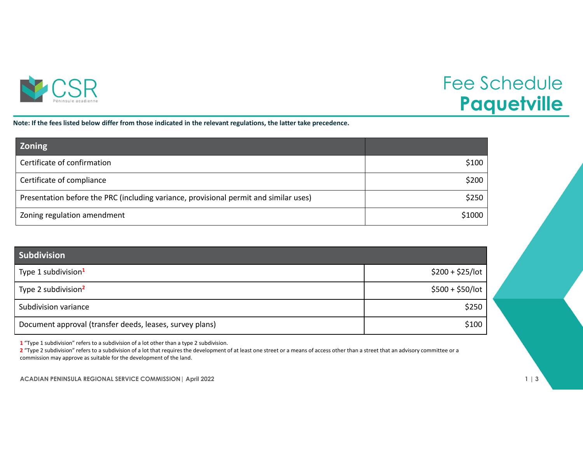

## Fee Schedule **Paquetville**

Note: If the fees listed below differ from those indicated in the relevant regulations, the latter take precedence.

| <b>Zoning</b>                                                                         |        |
|---------------------------------------------------------------------------------------|--------|
| Certificate of confirmation                                                           | \$100  |
| Certificate of compliance                                                             | \$200  |
| Presentation before the PRC (including variance, provisional permit and similar uses) | \$250  |
| Zoning regulation amendment                                                           | \$1000 |

| Subdivision                                              |                   |
|----------------------------------------------------------|-------------------|
| Type 1 subdivision <sup>1</sup>                          | $$200 + $25/$ lot |
| Type 2 subdivision <sup>2</sup>                          | $$500 + $50/$ lot |
| Subdivision variance                                     | \$250             |
| Document approval (transfer deeds, leases, survey plans) | \$100             |

**1** "Type 1 subdivision" refers to <sup>a</sup> subdivision of <sup>a</sup> lot other than <sup>a</sup> type 2 subdivision.

**2** "Type 2 subdivision" refers to <sup>a</sup> subdivision of <sup>a</sup> lot that requires the development of at least one street or <sup>a</sup> means of access other than <sup>a</sup> street that an advisory committee or <sup>a</sup> commission may approve as suitable for the development of the land.

**ACADIAN PENINSULA REGIONAL SERVICE COMMISSION| April 2022 1 | 3**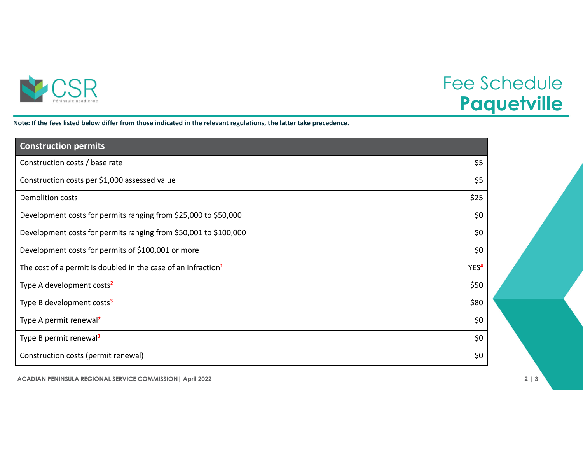

## Fee Schedule **Paquetville**

Note: If the fees listed below differ from those indicated in the relevant regulations, the latter take precedence.

| <b>Construction permits</b>                                               |                  |
|---------------------------------------------------------------------------|------------------|
| Construction costs / base rate                                            | \$5              |
| Construction costs per \$1,000 assessed value                             | \$5              |
| <b>Demolition costs</b>                                                   | \$25             |
| Development costs for permits ranging from \$25,000 to \$50,000           | \$0              |
| Development costs for permits ranging from \$50,001 to \$100,000          | \$0              |
| Development costs for permits of \$100,001 or more                        | \$0              |
| The cost of a permit is doubled in the case of an infraction <sup>1</sup> | YES <sup>4</sup> |
| Type A development costs <sup>2</sup>                                     | \$50             |
| Type B development costs <sup>3</sup>                                     | \$80             |
| Type A permit renewal <sup>2</sup>                                        | \$0              |
| Type B permit renewal <sup>3</sup>                                        | \$0              |
| Construction costs (permit renewal)                                       | \$0              |

**ACADIAN PENINSULA REGIONAL SERVICE COMMISSION| April 2022 2 | 3**